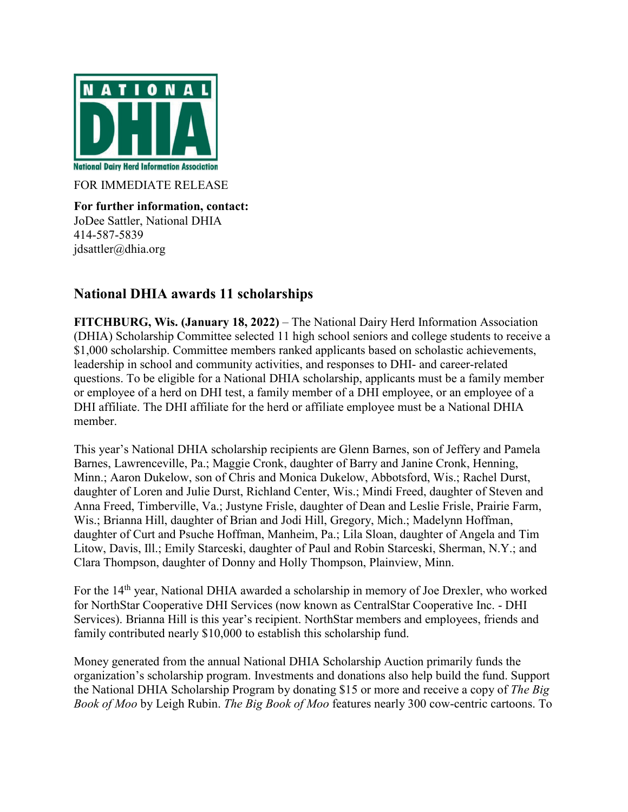

FOR IMMEDIATE RELEASE

**For further information, contact:** JoDee Sattler, National DHIA 414-587-5839 jdsattler@dhia.org

## **National DHIA awards 11 scholarships**

**FITCHBURG, Wis. (January 18, 2022)** – The National Dairy Herd Information Association (DHIA) Scholarship Committee selected 11 high school seniors and college students to receive a \$1,000 scholarship. Committee members ranked applicants based on scholastic achievements, leadership in school and community activities, and responses to DHI- and career-related questions. To be eligible for a National DHIA scholarship, applicants must be a family member or employee of a herd on DHI test, a family member of a DHI employee, or an employee of a DHI affiliate. The DHI affiliate for the herd or affiliate employee must be a National DHIA member.

This year's National DHIA scholarship recipients are Glenn Barnes, son of Jeffery and Pamela Barnes, Lawrenceville, Pa.; Maggie Cronk, daughter of Barry and Janine Cronk, Henning, Minn.; Aaron Dukelow, son of Chris and Monica Dukelow, Abbotsford, Wis.; Rachel Durst, daughter of Loren and Julie Durst, Richland Center, Wis.; Mindi Freed, daughter of Steven and Anna Freed, Timberville, Va.; Justyne Frisle, daughter of Dean and Leslie Frisle, Prairie Farm, Wis.; Brianna Hill, daughter of Brian and Jodi Hill, Gregory, Mich.; Madelynn Hoffman, daughter of Curt and Psuche Hoffman, Manheim, Pa.; Lila Sloan, daughter of Angela and Tim Litow, Davis, Ill.; Emily Starceski, daughter of Paul and Robin Starceski, Sherman, N.Y.; and Clara Thompson, daughter of Donny and Holly Thompson, Plainview, Minn.

For the 14<sup>th</sup> year, National DHIA awarded a scholarship in memory of Joe Drexler, who worked for NorthStar Cooperative DHI Services (now known as CentralStar Cooperative Inc. - DHI Services). Brianna Hill is this year's recipient. NorthStar members and employees, friends and family contributed nearly \$10,000 to establish this scholarship fund.

Money generated from the annual National DHIA Scholarship Auction primarily funds the organization's scholarship program. Investments and donations also help build the fund. Support the National DHIA Scholarship Program by donating \$15 or more and receive a copy of *The Big Book of Moo* by Leigh Rubin. *The Big Book of Moo* features nearly 300 cow-centric cartoons. To